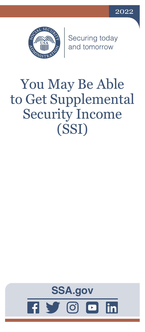



Securing today<br>and tomorrow

# You May Be Able to Get Supplemental Security Income (SSI)

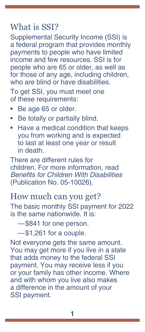## What is SSI?

Supplemental Security Income (SSI) is a federal program that provides monthly payments to people who have limited income and few resources. SSI is for people who are 65 or older, as well as for those of any age, including children, who are blind or have disabilities

To get SSI, you must meet one of these requirements:

- Be age 65 or older.
- Be totally or partially blind.
- Have a medical condition that keeps you from working and is expected to last at least one year or result in death.

There are different rules for children. For more information, read [Benefits for Children With Disabilities](https://www.ssa.gov/pubs/EN-05-10026.pdf) [\(Publication No. 05-10026\).](https://www.ssa.gov/pubs/EN-05-10026.pdf)

## How much can you get?

The basic monthly SSI payment for 2022 is the same nationwide. It is:

—\$841 for one person.

—\$1,261 for a couple.

Not everyone gets the same amount. You may get more if you live in a state that adds money to the federal SSI payment. You may receive less if you or your family has other income. Where and with whom you live also makes a difference in the amount of your SSI payment.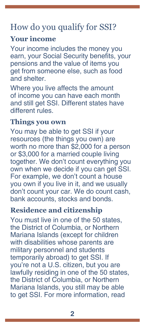# How do you qualify for SSI?

#### **Your income**

Your income includes the money you earn, your Social Security benefits, your pensions and the value of items you get from someone else, such as food and shelter.

Where you live affects the amount of income you can have each month and still get SSI. Different states have different rules.

### **Things you own**

You may be able to get SSI if your resources (the things you own) are worth no more than \$2,000 for a person or \$3,000 for a married couple living together. We don't count everything you own when we decide if you can get SSI. For example, we don't count a house you own if you live in it, and we usually don't count your car. We do count cash, bank accounts, stocks and bonds.

#### **Residence and citizenship**

You must live in one of the 50 states, the District of Columbia, or Northern Mariana Islands (except for children with disabilities whose parents are military personnel and students temporarily abroad) to get SSI. If you're not a U.S. citizen, but you are lawfully residing in one of the 50 states, the District of Columbia, or Northern Mariana Islands, you still may be able to get SSI. For more information, read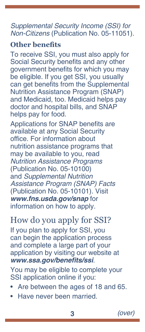#### [Supplemental Security Income \(SSI\) for](https://www.ssa.gov/pubs/EN-05-11051.pdf)  Non-Citizens [\(Publication No. 05-11051\).](https://www.ssa.gov/pubs/EN-05-11051.pdf)

#### **Other benefits**

To receive SSI, you must also apply for Social Security benefits and any other government benefits for which you may be eligible. If you get SSI, you usually can get benefits from the Supplemental Nutrition Assistance Program (SNAP) and Medicaid, too. Medicaid helps pay doctor and hospital bills, and SNAP helps pay for food.

Applications for SNAP benefits are available at any Social Security office. For information about nutrition assistance programs that may be available to you, read [Nutrition Assistance Programs](https://www.ssa.gov/pubs/EN-05-10100.pdf) [\(Publication No. 05-10100\)](https://www.ssa.gov/pubs/EN-05-10100.pdf) and [Supplemental Nutrition](https://www.ssa.gov/pubs/EN-05-10101.pdf)  [Assistance Program \(SNAP\) Facts](https://www.ssa.gov/pubs/EN-05-10101.pdf) [\(Publication No. 05-10101\)](https://www.ssa.gov/pubs/EN-05-10101.pdf). Visit *[www.fns.usda.gov/snap](https://www.fns.usda.gov/snap)* for information on how to apply.

# How do you apply for SSI?

If you plan to apply for SSI, you can begin the application process and complete a large part of your application by visiting our website at **[www.ssa.gov/benefits/ssi](https://www.ssa.gov/benefits/ssi)**.

You may be eligible to complete your SSI application online if you:

- Are between the ages of 18 and 65.
- Have never been married.

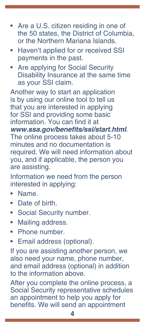- Are a U.S. citizen residing in one of the 50 states, the District of Columbia, or the Northern Mariana Islands.
- Haven't applied for or received SSI payments in the past.
- Are applying for Social Security Disability Insurance at the same time as your SSI claim.

Another way to start an application is by using our online tool to tell us that you are interested in applying for SSI and providing some basic information. You can find it at **[www.ssa.gov/benefits/ssi/start.html](https://www.ssa.gov/benefits/ssi/start.html)**. The online process takes about 5-10 minutes and no documentation is required. We will need information about you, and if applicable, the person you are assisting.

Information we need from the person interested in applying:

- Name.
- Date of birth.
- Social Security number.
- Mailing address.
- Phone number.
- Email address (optional).

If you are assisting another person, we also need your name, phone number, and email address (optional) in addition to the information above.

After you complete the online process, a Social Security representative schedules an appointment to help you apply for benefits. We will send an appointment